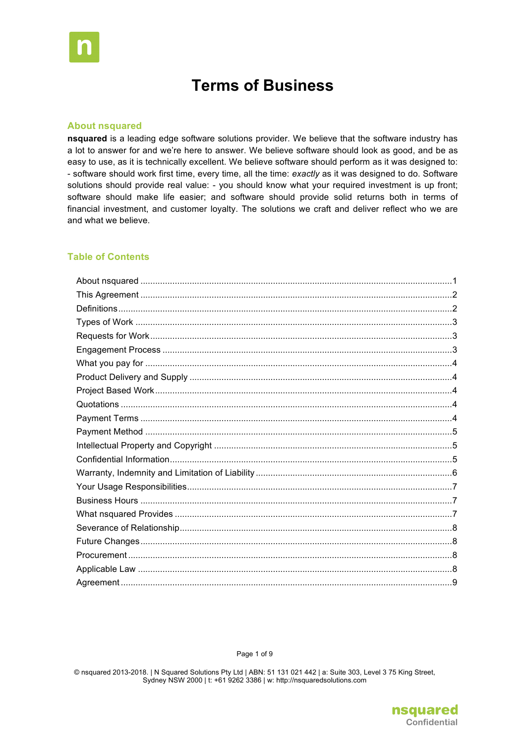

# **Terms of Business**

#### **About nsquared**

nsquared is a leading edge software solutions provider. We believe that the software industry has a lot to answer for and we're here to answer. We believe software should look as good, and be as easy to use, as it is technically excellent. We believe software should perform as it was designed to: - software should work first time, every time, all the time: exactly as it was designed to do. Software solutions should provide real value: - you should know what your required investment is up front; software should make life easier; and software should provide solid returns both in terms of financial investment, and customer loyalty. The solutions we craft and deliver reflect who we are and what we believe.

## **Table of Contents**

Page 1 of 9

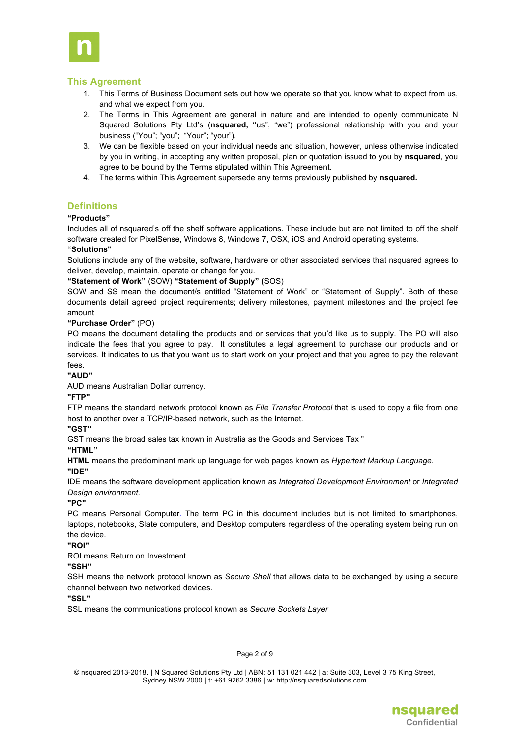

## **This Agreement**

- 1. This Terms of Business Document sets out how we operate so that you know what to expect from us, and what we expect from you.
- 2. The Terms in This Agreement are general in nature and are intended to openly communicate N Squared Solutions Pty Ltd's (**nsquared, "**us", "we") professional relationship with you and your business ("You"; "you"; "Your"; "your").
- 3. We can be flexible based on your individual needs and situation, however, unless otherwise indicated by you in writing, in accepting any written proposal, plan or quotation issued to you by **nsquared**, you agree to be bound by the Terms stipulated within This Agreement.
- 4. The terms within This Agreement supersede any terms previously published by **nsquared.**

## **Definitions**

#### **"Products"**

Includes all of nsquared's off the shelf software applications. These include but are not limited to off the shelf software created for PixelSense, Windows 8, Windows 7, OSX, iOS and Android operating systems.

#### **"Solutions"**

Solutions include any of the website, software, hardware or other associated services that nsquared agrees to deliver, develop, maintain, operate or change for you.

#### **"Statement of Work"** (SOW) **"Statement of Supply" (**SOS)

SOW and SS mean the document/s entitled "Statement of Work" or "Statement of Supply". Both of these documents detail agreed project requirements; delivery milestones, payment milestones and the project fee amount

#### **"Purchase Order"** (PO)

PO means the document detailing the products and or services that you'd like us to supply. The PO will also indicate the fees that you agree to pay. It constitutes a legal agreement to purchase our products and or services. It indicates to us that you want us to start work on your project and that you agree to pay the relevant fees.

#### **"AUD"**

AUD means Australian Dollar currency.

#### **"FTP"**

FTP means the standard network protocol known as *File Transfer Protocol* that is used to copy a file from one host to another over a TCP/IP-based network, such as the Internet.

#### **"GST"**

GST means the broad sales tax known in Australia as the Goods and Services Tax "

## **"HTML"**

**HTML** means the predominant mark up language for web pages known as *Hypertext Markup Language*.

**"IDE"**

IDE means the software development application known as *Integrated Development Environment* or *Integrated Design environment.*

#### **"PC"**

PC means Personal Computer. The term PC in this document includes but is not limited to smartphones, laptops, notebooks, Slate computers, and Desktop computers regardless of the operating system being run on the device.

#### **"ROI"**

ROI means Return on Investment

#### **"SSH"**

SSH means the network protocol known as *Secure Shell* that allows data to be exchanged by using a secure channel between two networked devices.

**"SSL"**

SSL means the communications protocol known as *Secure Sockets Layer*

#### Page 2 of 9

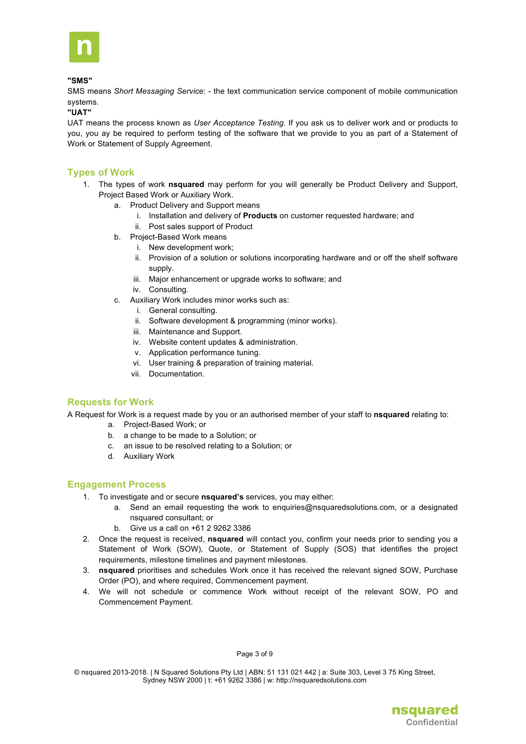

#### **"SMS"**

SMS means *Short Messaging Service*: - the text communication service component of mobile communication systems.

#### **"UAT"**

UAT means the process known as *User Acceptance Testing.* If you ask us to deliver work and or products to you, you ay be required to perform testing of the software that we provide to you as part of a Statement of Work or Statement of Supply Agreement.

## **Types of Work**

- 1. The types of work **nsquared** may perform for you will generally be Product Delivery and Support, Project Based Work or Auxiliary Work.
	- a. Product Delivery and Support means
		- i. Installation and delivery of **Products** on customer requested hardware; and
		- ii. Post sales support of Product
	- b. Project-Based Work means
		- i. New development work;
		- ii. Provision of a solution or solutions incorporating hardware and or off the shelf software supply.
		- iii. Major enhancement or upgrade works to software; and
		- iv. Consulting.
	- c. Auxiliary Work includes minor works such as:
		- i. General consulting.
		- ii. Software development & programming (minor works).
		- iii. Maintenance and Support.
		- iv. Website content updates & administration.
		- v. Application performance tuning.
		- vi. User training & preparation of training material.
		- vii. Documentation.

## **Requests for Work**

A Request for Work is a request made by you or an authorised member of your staff to **nsquared** relating to:

- a. Project-Based Work; or
	- b. a change to be made to a Solution; or
	- c. an issue to be resolved relating to a Solution; or
	- d. Auxiliary Work

#### **Engagement Process**

- 1. To investigate and or secure **nsquared's** services, you may either:
	- a. Send an email requesting the work to enquiries@nsquaredsolutions.com, or a designated nsquared consultant; or
	- b. Give us a call on +61 2 9262 3386
- 2. Once the request is received, **nsquared** will contact you, confirm your needs prior to sending you a Statement of Work (SOW), Quote, or Statement of Supply (SOS) that identifies the project requirements, milestone timelines and payment milestones.
- 3. **nsquared** prioritises and schedules Work once it has received the relevant signed SOW, Purchase Order (PO), and where required, Commencement payment.
- 4. We will not schedule or commence Work without receipt of the relevant SOW, PO and Commencement Payment.

#### Page 3 of 9

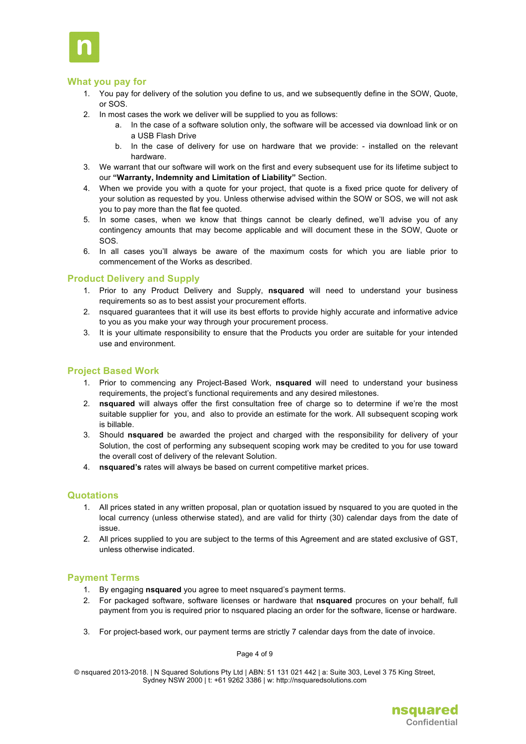

## **What you pay for**

- 1. You pay for delivery of the solution you define to us, and we subsequently define in the SOW, Quote, or SOS.
- 2. In most cases the work we deliver will be supplied to you as follows:
	- a. In the case of a software solution only, the software will be accessed via download link or on a USB Flash Drive
	- b. In the case of delivery for use on hardware that we provide: installed on the relevant hardware.
- 3. We warrant that our software will work on the first and every subsequent use for its lifetime subject to our **"Warranty, Indemnity and Limitation of Liability"** Section.
- 4. When we provide you with a quote for your project, that quote is a fixed price quote for delivery of your solution as requested by you. Unless otherwise advised within the SOW or SOS, we will not ask you to pay more than the flat fee quoted.
- 5. In some cases, when we know that things cannot be clearly defined, we'll advise you of any contingency amounts that may become applicable and will document these in the SOW, Quote or SOS.
- 6. In all cases you'll always be aware of the maximum costs for which you are liable prior to commencement of the Works as described.

## **Product Delivery and Supply**

- 1. Prior to any Product Delivery and Supply, **nsquared** will need to understand your business requirements so as to best assist your procurement efforts.
- 2. nsquared guarantees that it will use its best efforts to provide highly accurate and informative advice to you as you make your way through your procurement process.
- 3. It is your ultimate responsibility to ensure that the Products you order are suitable for your intended use and environment.

## **Project Based Work**

- 1. Prior to commencing any Project-Based Work, **nsquared** will need to understand your business requirements, the project's functional requirements and any desired milestones.
- 2. **nsquared** will always offer the first consultation free of charge so to determine if we're the most suitable supplier for you, and also to provide an estimate for the work. All subsequent scoping work is billable.
- 3. Should **nsquared** be awarded the project and charged with the responsibility for delivery of your Solution, the cost of performing any subsequent scoping work may be credited to you for use toward the overall cost of delivery of the relevant Solution.
- 4. **nsquared's** rates will always be based on current competitive market prices.

#### **Quotations**

- 1. All prices stated in any written proposal, plan or quotation issued by nsquared to you are quoted in the local currency (unless otherwise stated), and are valid for thirty (30) calendar days from the date of issue.
- 2. All prices supplied to you are subject to the terms of this Agreement and are stated exclusive of GST, unless otherwise indicated.

#### **Payment Terms**

- 1. By engaging **nsquared** you agree to meet nsquared's payment terms.
- 2. For packaged software, software licenses or hardware that **nsquared** procures on your behalf, full payment from you is required prior to nsquared placing an order for the software, license or hardware.
- 3. For project-based work, our payment terms are strictly 7 calendar days from the date of invoice.

#### Page 4 of 9

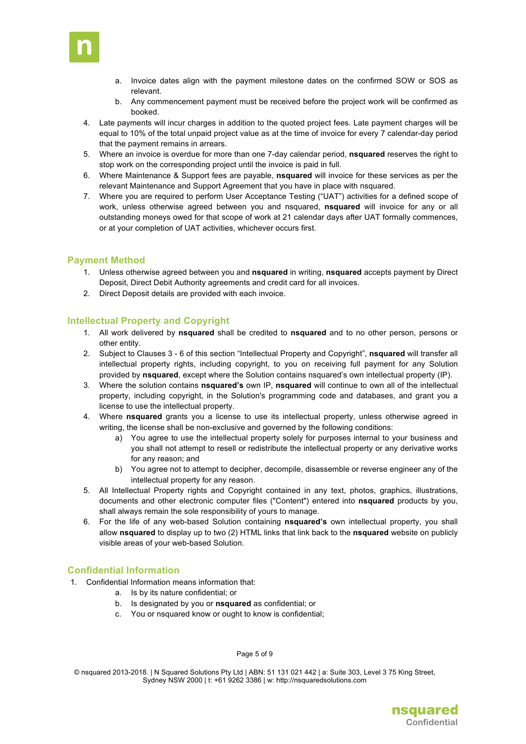

- a. Invoice dates align with the payment milestone dates on the confirmed SOW or SOS as relevant.
- b. Any commencement payment must be received before the project work will be confirmed as booked.
- 4. Late payments will incur charges in addition to the quoted project fees. Late payment charges will be equal to 10% of the total unpaid project value as at the time of invoice for every 7 calendar-day period that the payment remains in arrears.
- 5. Where an invoice is overdue for more than one 7-day calendar period, **nsquared** reserves the right to stop work on the corresponding project until the invoice is paid in full.
- 6. Where Maintenance & Support fees are payable, **nsquared** will invoice for these services as per the relevant Maintenance and Support Agreement that you have in place with nsquared.
- 7. Where you are required to perform User Acceptance Testing ("UAT") activities for a defined scope of work, unless otherwise agreed between you and nsquared, **nsquared** will invoice for any or all outstanding moneys owed for that scope of work at 21 calendar days after UAT formally commences, or at your completion of UAT activities, whichever occurs first.

## **Payment Method**

- 1. Unless otherwise agreed between you and **nsquared** in writing, **nsquared** accepts payment by Direct Deposit, Direct Debit Authority agreements and credit card for all invoices.
- 2. Direct Deposit details are provided with each invoice.

## **Intellectual Property and Copyright**

- 1. All work delivered by **nsquared** shall be credited to **nsquared** and to no other person, persons or other entity.
- 2. Subject to Clauses 3 6 of this section "Intellectual Property and Copyright", **nsquared** will transfer all intellectual property rights, including copyright, to you on receiving full payment for any Solution provided by **nsquared**, except where the Solution contains nsquared's own intellectual property (IP).
- 3. Where the solution contains **nsquared's** own IP, **nsquared** will continue to own all of the intellectual property, including copyright, in the Solution's programming code and databases, and grant you a license to use the intellectual property.
- 4. Where **nsquared** grants you a license to use its intellectual property, unless otherwise agreed in writing, the license shall be non-exclusive and governed by the following conditions:
	- a) You agree to use the intellectual property solely for purposes internal to your business and you shall not attempt to resell or redistribute the intellectual property or any derivative works for any reason; and
	- b) You agree not to attempt to decipher, decompile, disassemble or reverse engineer any of the intellectual property for any reason.
- 5. All Intellectual Property rights and Copyright contained in any text, photos, graphics, illustrations, documents and other electronic computer files ("Content") entered into **nsquared** products by you, shall always remain the sole responsibility of yours to manage.
- 6. For the life of any web-based Solution containing **nsquared's** own intellectual property, you shall allow **nsquared** to display up to two (2) HTML links that link back to the **nsquared** website on publicly visible areas of your web-based Solution.

## **Confidential Information**

- 1. Confidential Information means information that:
	- a. Is by its nature confidential; or
	- b. Is designated by you or **nsquared** as confidential; or
	- c. You or nsquared know or ought to know is confidential;

Page 5 of 9

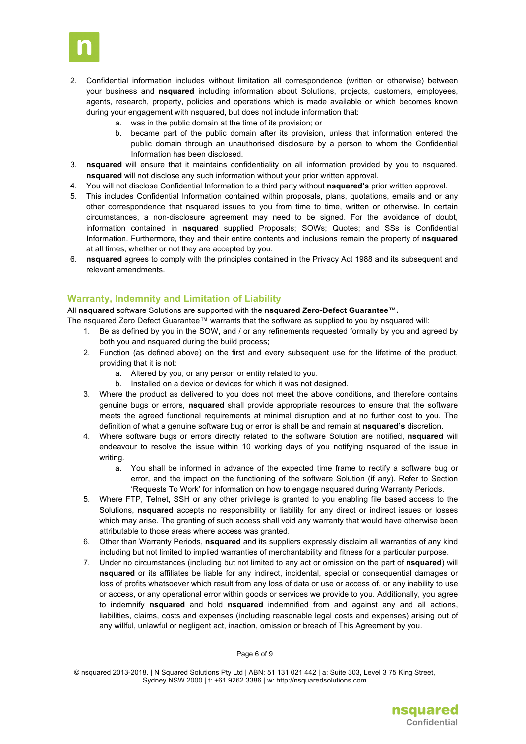

- 2. Confidential information includes without limitation all correspondence (written or otherwise) between your business and **nsquared** including information about Solutions, projects, customers, employees, agents, research, property, policies and operations which is made available or which becomes known during your engagement with nsquared, but does not include information that:
	- a. was in the public domain at the time of its provision; or
	- b. became part of the public domain after its provision, unless that information entered the public domain through an unauthorised disclosure by a person to whom the Confidential Information has been disclosed.
- 3. **nsquared** will ensure that it maintains confidentiality on all information provided by you to nsquared. **nsquared** will not disclose any such information without your prior written approval.
- 4. You will not disclose Confidential Information to a third party without **nsquared's** prior written approval.
- 5. This includes Confidential Information contained within proposals, plans, quotations, emails and or any other correspondence that nsquared issues to you from time to time, written or otherwise. In certain circumstances, a non-disclosure agreement may need to be signed. For the avoidance of doubt, information contained in **nsquared** supplied Proposals; SOWs; Quotes; and SSs is Confidential Information. Furthermore, they and their entire contents and inclusions remain the property of **nsquared** at all times, whether or not they are accepted by you.
- 6. **nsquared** agrees to comply with the principles contained in the Privacy Act 1988 and its subsequent and relevant amendments.

## **Warranty, Indemnity and Limitation of Liability**

All **nsquared** software Solutions are supported with the **nsquared Zero-Defect Guarantee™.**

- The nsquared Zero Defect Guarantee™ warrants that the software as supplied to you by nsquared will:
	- 1. Be as defined by you in the SOW, and / or any refinements requested formally by you and agreed by both you and nsquared during the build process;
	- 2. Function (as defined above) on the first and every subsequent use for the lifetime of the product, providing that it is not:
		- a. Altered by you, or any person or entity related to you.
		- b. Installed on a device or devices for which it was not designed.
	- 3. Where the product as delivered to you does not meet the above conditions, and therefore contains genuine bugs or errors, **nsquared** shall provide appropriate resources to ensure that the software meets the agreed functional requirements at minimal disruption and at no further cost to you. The definition of what a genuine software bug or error is shall be and remain at **nsquared's** discretion.
	- 4. Where software bugs or errors directly related to the software Solution are notified, **nsquared** will endeavour to resolve the issue within 10 working days of you notifying nsquared of the issue in writing.
		- a. You shall be informed in advance of the expected time frame to rectify a software bug or error, and the impact on the functioning of the software Solution (if any). Refer to Section 'Requests To Work' for information on how to engage nsquared during Warranty Periods.
	- 5. Where FTP, Telnet, SSH or any other privilege is granted to you enabling file based access to the Solutions, **nsquared** accepts no responsibility or liability for any direct or indirect issues or losses which may arise. The granting of such access shall void any warranty that would have otherwise been attributable to those areas where access was granted.
	- 6. Other than Warranty Periods, **nsquared** and its suppliers expressly disclaim all warranties of any kind including but not limited to implied warranties of merchantability and fitness for a particular purpose.
	- 7. Under no circumstances (including but not limited to any act or omission on the part of **nsquared**) will **nsquared** or its affiliates be liable for any indirect, incidental, special or consequential damages or loss of profits whatsoever which result from any loss of data or use or access of, or any inability to use or access, or any operational error within goods or services we provide to you. Additionally, you agree to indemnify **nsquared** and hold **nsquared** indemnified from and against any and all actions, liabilities, claims, costs and expenses (including reasonable legal costs and expenses) arising out of any willful, unlawful or negligent act, inaction, omission or breach of This Agreement by you.

Page 6 of 9

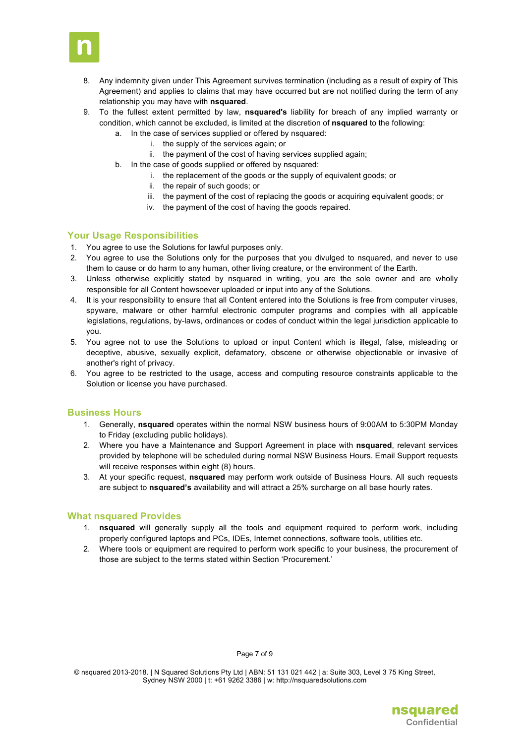

- 8. Any indemnity given under This Agreement survives termination (including as a result of expiry of This Agreement) and applies to claims that may have occurred but are not notified during the term of any relationship you may have with **nsquared**.
- 9. To the fullest extent permitted by law, **nsquared's** liability for breach of any implied warranty or condition, which cannot be excluded, is limited at the discretion of **nsquared** to the following:
	- a. In the case of services supplied or offered by nsquared:
		- i. the supply of the services again; or
		- ii. the payment of the cost of having services supplied again;
	- b. In the case of goods supplied or offered by nsquared:
		- i. the replacement of the goods or the supply of equivalent goods; or
		- ii. the repair of such goods; or
		- iii. the payment of the cost of replacing the goods or acquiring equivalent goods; or
		- iv. the payment of the cost of having the goods repaired.

## **Your Usage Responsibilities**

- 1. You agree to use the Solutions for lawful purposes only.
- 2. You agree to use the Solutions only for the purposes that you divulged to nsquared, and never to use them to cause or do harm to any human, other living creature, or the environment of the Earth.
- 3. Unless otherwise explicitly stated by nsquared in writing, you are the sole owner and are wholly responsible for all Content howsoever uploaded or input into any of the Solutions.
- 4. It is your responsibility to ensure that all Content entered into the Solutions is free from computer viruses, spyware, malware or other harmful electronic computer programs and complies with all applicable legislations, regulations, by-laws, ordinances or codes of conduct within the legal jurisdiction applicable to you.
- 5. You agree not to use the Solutions to upload or input Content which is illegal, false, misleading or deceptive, abusive, sexually explicit, defamatory, obscene or otherwise objectionable or invasive of another's right of privacy.
- 6. You agree to be restricted to the usage, access and computing resource constraints applicable to the Solution or license you have purchased.

## **Business Hours**

- 1. Generally, **nsquared** operates within the normal NSW business hours of 9:00AM to 5:30PM Monday to Friday (excluding public holidays).
- 2. Where you have a Maintenance and Support Agreement in place with **nsquared**, relevant services provided by telephone will be scheduled during normal NSW Business Hours. Email Support requests will receive responses within eight (8) hours.
- 3. At your specific request, **nsquared** may perform work outside of Business Hours. All such requests are subject to **nsquared's** availability and will attract a 25% surcharge on all base hourly rates.

## **What nsquared Provides**

- 1. **nsquared** will generally supply all the tools and equipment required to perform work, including properly configured laptops and PCs, IDEs, Internet connections, software tools, utilities etc.
- 2. Where tools or equipment are required to perform work specific to your business, the procurement of those are subject to the terms stated within Section 'Procurement.'

Page 7 of 9

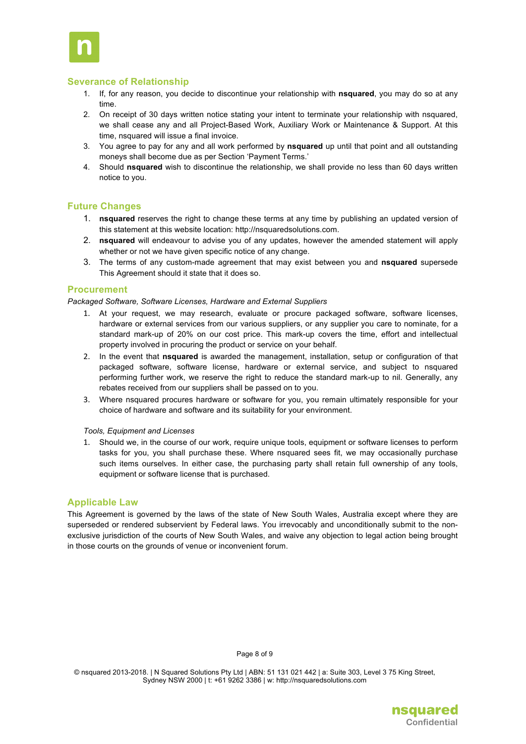

## **Severance of Relationship**

- 1. If, for any reason, you decide to discontinue your relationship with **nsquared**, you may do so at any time.
- 2. On receipt of 30 days written notice stating your intent to terminate your relationship with nsquared, we shall cease any and all Project-Based Work, Auxiliary Work or Maintenance & Support. At this time, nsquared will issue a final invoice.
- 3. You agree to pay for any and all work performed by **nsquared** up until that point and all outstanding moneys shall become due as per Section 'Payment Terms.'
- 4. Should **nsquared** wish to discontinue the relationship, we shall provide no less than 60 days written notice to you.

## **Future Changes**

- 1. **nsquared** reserves the right to change these terms at any time by publishing an updated version of this statement at this website location: http://nsquaredsolutions.com.
- 2. **nsquared** will endeavour to advise you of any updates, however the amended statement will apply whether or not we have given specific notice of any change.
- 3. The terms of any custom-made agreement that may exist between you and **nsquared** supersede This Agreement should it state that it does so.

## **Procurement**

*Packaged Software, Software Licenses, Hardware and External Suppliers*

- 1. At your request, we may research, evaluate or procure packaged software, software licenses, hardware or external services from our various suppliers, or any supplier you care to nominate, for a standard mark-up of 20% on our cost price. This mark-up covers the time, effort and intellectual property involved in procuring the product or service on your behalf.
- 2. In the event that **nsquared** is awarded the management, installation, setup or configuration of that packaged software, software license, hardware or external service, and subject to nsquared performing further work, we reserve the right to reduce the standard mark-up to nil. Generally, any rebates received from our suppliers shall be passed on to you.
- 3. Where nsquared procures hardware or software for you, you remain ultimately responsible for your choice of hardware and software and its suitability for your environment.

#### *Tools, Equipment and Licenses*

1. Should we, in the course of our work, require unique tools, equipment or software licenses to perform tasks for you, you shall purchase these. Where nsquared sees fit, we may occasionally purchase such items ourselves. In either case, the purchasing party shall retain full ownership of any tools, equipment or software license that is purchased.

## **Applicable Law**

This Agreement is governed by the laws of the state of New South Wales, Australia except where they are superseded or rendered subservient by Federal laws. You irrevocably and unconditionally submit to the nonexclusive jurisdiction of the courts of New South Wales, and waive any objection to legal action being brought in those courts on the grounds of venue or inconvenient forum.

#### Page 8 of 9